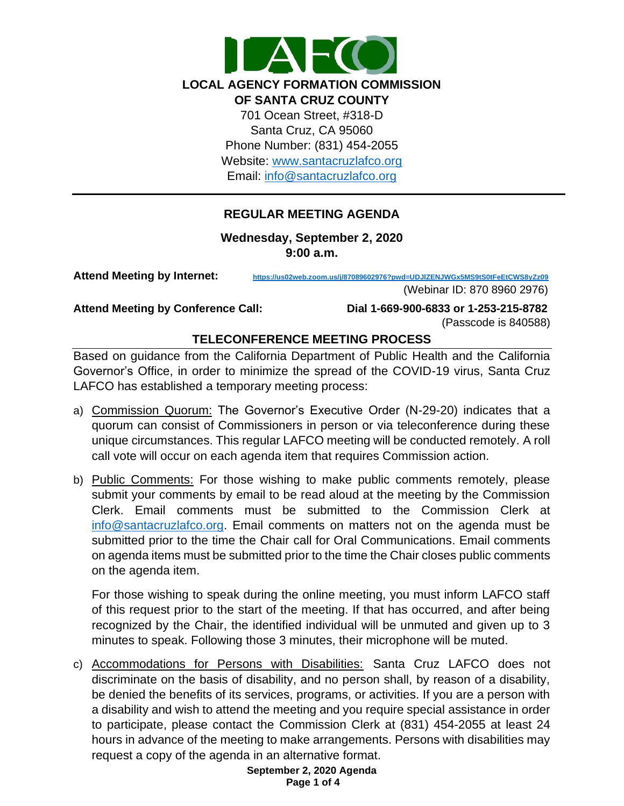

Email: [info@santacruzlafco.org](mailto:info@santacruzlafco.org)

### **REGULAR MEETING AGENDA**

**Wednesday, September 2, 2020 9:00 a.m.**

**Attend Meeting by Internet: <https://us02web.zoom.us/j/87089602976?pwd=UDJlZENJWGx5MS9tS0tFeEtCWS8yZz09>**

(Webinar ID: 870 8960 2976)

**Attend Meeting by Conference Call: Dial 1-669-900-6833 or 1-253-215-8782** (Passcode is 840588)

#### **TELECONFERENCE MEETING PROCESS**

Based on guidance from the California Department of Public Health and the California Governor's Office, in order to minimize the spread of the COVID-19 virus, Santa Cruz LAFCO has established a temporary meeting process:

- a) Commission Quorum: The Governor's Executive Order (N-29-20) indicates that a quorum can consist of Commissioners in person or via teleconference during these unique circumstances. This regular LAFCO meeting will be conducted remotely. A roll call vote will occur on each agenda item that requires Commission action.
- b) Public Comments: For those wishing to make public comments remotely, please submit your comments by email to be read aloud at the meeting by the Commission Clerk. Email comments must be submitted to the Commission Clerk at [info@santacruzlafco.org.](mailto:info@santacruzlafco.org) Email comments on matters not on the agenda must be submitted prior to the time the Chair call for Oral Communications. Email comments on agenda items must be submitted prior to the time the Chair closes public comments on the agenda item.

For those wishing to speak during the online meeting, you must inform LAFCO staff of this request prior to the start of the meeting. If that has occurred, and after being recognized by the Chair, the identified individual will be unmuted and given up to 3 minutes to speak. Following those 3 minutes, their microphone will be muted.

c) Accommodations for Persons with Disabilities: Santa Cruz LAFCO does not discriminate on the basis of disability, and no person shall, by reason of a disability, be denied the benefits of its services, programs, or activities. If you are a person with a disability and wish to attend the meeting and you require special assistance in order to participate, please contact the Commission Clerk at (831) 454-2055 at least 24 hours in advance of the meeting to make arrangements. Persons with disabilities may request a copy of the agenda in an alternative format.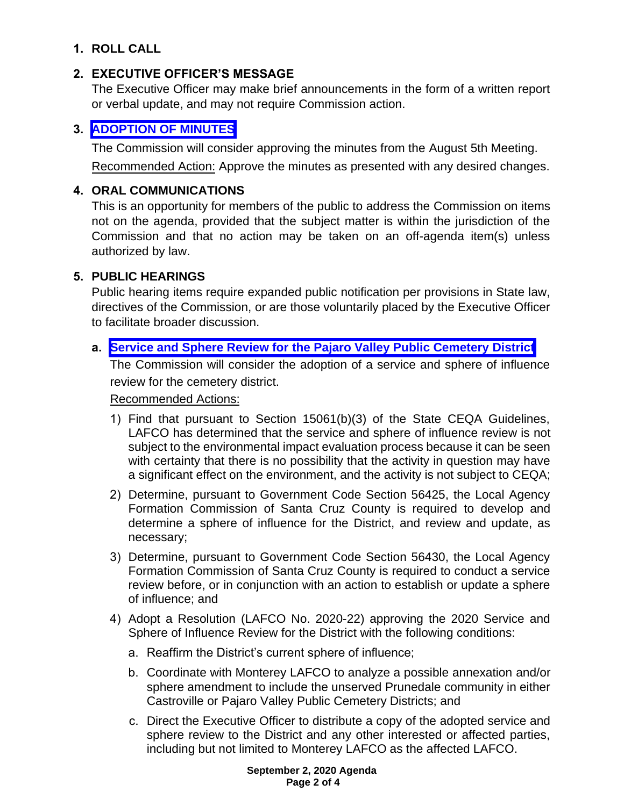# **1. ROLL CALL**

# **2. EXECUTIVE OFFICER'S MESSAGE**

The Executive Officer may make brief announcements in the form of a written report or verbal update, and may not require Commission action.

# **3. [ADOPTION OF MINUTES](https://www.santacruzlafco.org/wp-content/uploads/2020/08/3.0-Draft-Minutes-August-Meeting.pdf)**

The Commission will consider approving the minutes from the August 5th Meeting.

Recommended Action: Approve the minutes as presented with any desired changes.

# **4. ORAL COMMUNICATIONS**

This is an opportunity for members of the public to address the Commission on items not on the agenda, provided that the subject matter is within the jurisdiction of the Commission and that no action may be taken on an off-agenda item(s) unless authorized by law.

# **5. PUBLIC HEARINGS**

Public hearing items require expanded public notification per provisions in State law, directives of the Commission, or are those voluntarily placed by the Executive Officer to facilitate broader discussion.

# **a. [Service and Sphere Review for the Pajaro Valley Public Cemetery District](https://www.santacruzlafco.org/wp-content/uploads/2020/08/5a.0-PVPCD-MSR-Staff-Report.pdf)**

The Commission will consider the adoption of a service and sphere of influence review for the cemetery district.

## Recommended Actions:

- 1) Find that pursuant to Section 15061(b)(3) of the State CEQA Guidelines, LAFCO has determined that the service and sphere of influence review is not subject to the environmental impact evaluation process because it can be seen with certainty that there is no possibility that the activity in question may have a significant effect on the environment, and the activity is not subject to CEQA;
- 2) Determine, pursuant to Government Code Section 56425, the Local Agency Formation Commission of Santa Cruz County is required to develop and determine a sphere of influence for the District, and review and update, as necessary;
- 3) Determine, pursuant to Government Code Section 56430, the Local Agency Formation Commission of Santa Cruz County is required to conduct a service review before, or in conjunction with an action to establish or update a sphere of influence; and
- 4) Adopt a Resolution (LAFCO No. 2020-22) approving the 2020 Service and Sphere of Influence Review for the District with the following conditions:
	- a. Reaffirm the District's current sphere of influence;
	- b. Coordinate with Monterey LAFCO to analyze a possible annexation and/or sphere amendment to include the unserved Prunedale community in either Castroville or Pajaro Valley Public Cemetery Districts; and
	- c. Direct the Executive Officer to distribute a copy of the adopted service and sphere review to the District and any other interested or affected parties, including but not limited to Monterey LAFCO as the affected LAFCO.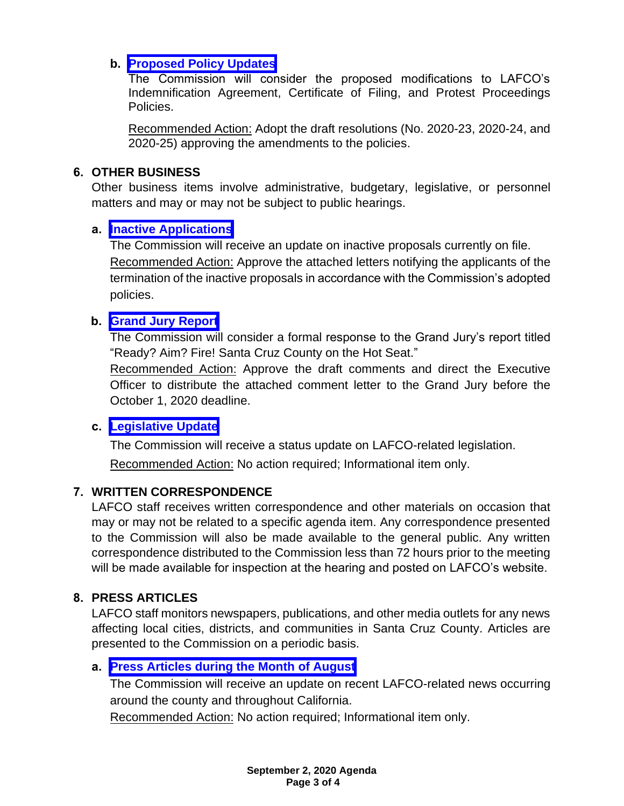### **b. [Proposed Policy Updates](https://www.santacruzlafco.org/wp-content/uploads/2020/08/5b.0-Policy-Updates-Staff-Report.pdf)**

The Commission will consider the proposed modifications to LAFCO's Indemnification Agreement, Certificate of Filing, and Protest Proceedings Policies.

Recommended Action: Adopt the draft resolutions (No. 2020-23, 2020-24, and 2020-25) approving the amendments to the policies.

### **6. OTHER BUSINESS**

Other business items involve administrative, budgetary, legislative, or personnel matters and may or may not be subject to public hearings.

### **a. [Inactive Applications](https://www.santacruzlafco.org/wp-content/uploads/2020/08/6a.0-Inactive-Applications-Staff-Report.pdf)**

The Commission will receive an update on inactive proposals currently on file. Recommended Action: Approve the attached letters notifying the applicants of the termination of the inactive proposals in accordance with the Commission's adopted policies.

#### **b. [Grand Jury Report](https://www.santacruzlafco.org/wp-content/uploads/2020/08/6b.0-Grand-Jury-Response-Staff-Report.pdf)**

The Commission will consider a formal response to the Grand Jury's report titled "Ready? Aim? Fire! Santa Cruz County on the Hot Seat."

Recommended Action: Approve the draft comments and direct the Executive Officer to distribute the attached comment letter to the Grand Jury before the October 1, 2020 deadline.

# **c. [Legislative Update](https://www.santacruzlafco.org/wp-content/uploads/2020/08/6c.0-Leg-Update-Staff-Report.pdf)**

The Commission will receive a status update on LAFCO-related legislation. Recommended Action: No action required; Informational item only.

#### **7. WRITTEN CORRESPONDENCE**

LAFCO staff receives written correspondence and other materials on occasion that may or may not be related to a specific agenda item. Any correspondence presented to the Commission will also be made available to the general public. Any written correspondence distributed to the Commission less than 72 hours prior to the meeting will be made available for inspection at the hearing and posted on LAFCO's website.

# **8. PRESS ARTICLES**

LAFCO staff monitors newspapers, publications, and other media outlets for any news affecting local cities, districts, and communities in Santa Cruz County. Articles are presented to the Commission on a periodic basis.

# **a. [Press Articles during the Month of August](https://www.santacruzlafco.org/wp-content/uploads/2020/08/8a.0-Press-Articles-Staff-Report.pdf)**

The Commission will receive an update on recent LAFCO-related news occurring around the county and throughout California.

Recommended Action: No action required; Informational item only.